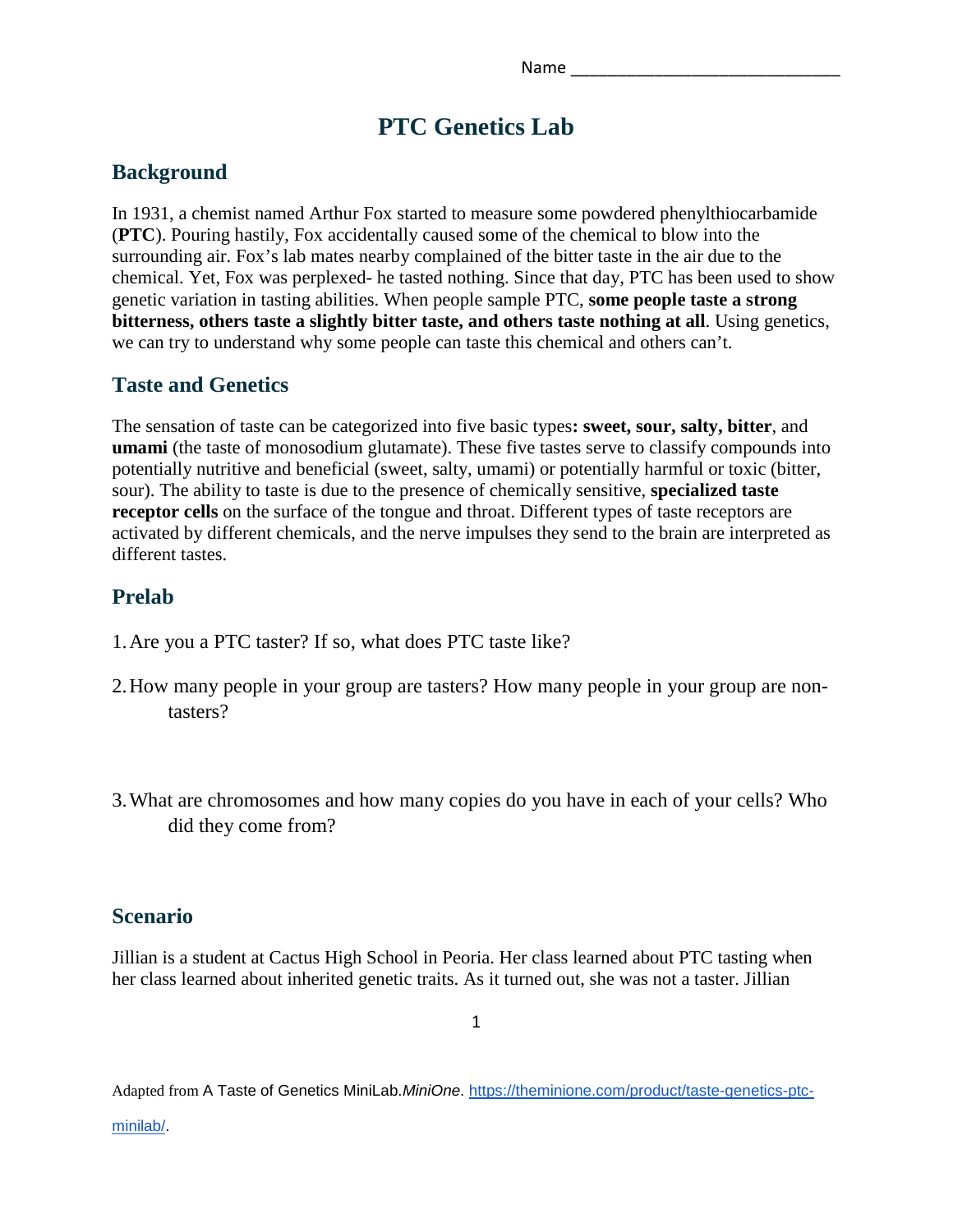# **PTC Genetics Lab**

### **Background**

In 1931, a chemist named Arthur Fox started to measure some powdered phenylthiocarbamide (**PTC**). Pouring hastily, Fox accidentally caused some of the chemical to blow into the surrounding air. Fox's lab mates nearby complained of the bitter taste in the air due to the chemical. Yet, Fox was perplexed- he tasted nothing. Since that day, PTC has been used to show genetic variation in tasting abilities. When people sample PTC, **some people taste a strong bitterness, others taste a slightly bitter taste, and others taste nothing at all**. Using genetics, we can try to understand why some people can taste this chemical and others can't.

### **Taste and Genetics**

The sensation of taste can be categorized into five basic types**: sweet, sour, salty, bitter**, and **umami** (the taste of monosodium glutamate). These five tastes serve to classify compounds into potentially nutritive and beneficial (sweet, salty, umami) or potentially harmful or toxic (bitter, sour). The ability to taste is due to the presence of chemically sensitive, **specialized taste receptor cells** on the surface of the tongue and throat. Different types of taste receptors are activated by different chemicals, and the nerve impulses they send to the brain are interpreted as different tastes.

### **Prelab**

- 1.Are you a PTC taster? If so, what does PTC taste like?
- 2.How many people in your group are tasters? How many people in your group are nontasters?
- 3.What are chromosomes and how many copies do you have in each of your cells? Who did they come from?

#### **Scenario**

Jillian is a student at Cactus High School in Peoria. Her class learned about PTC tasting when her class learned about inherited genetic traits. As it turned out, she was not a taster. Jillian

1

Adapted from A Taste of Genetics MiniLab.*MiniOne*. [https://theminione.com/product/taste-genetics-ptc-](https://theminione.com/product/taste-genetics-ptc-minilab/)

[minilab/.](https://theminione.com/product/taste-genetics-ptc-minilab/)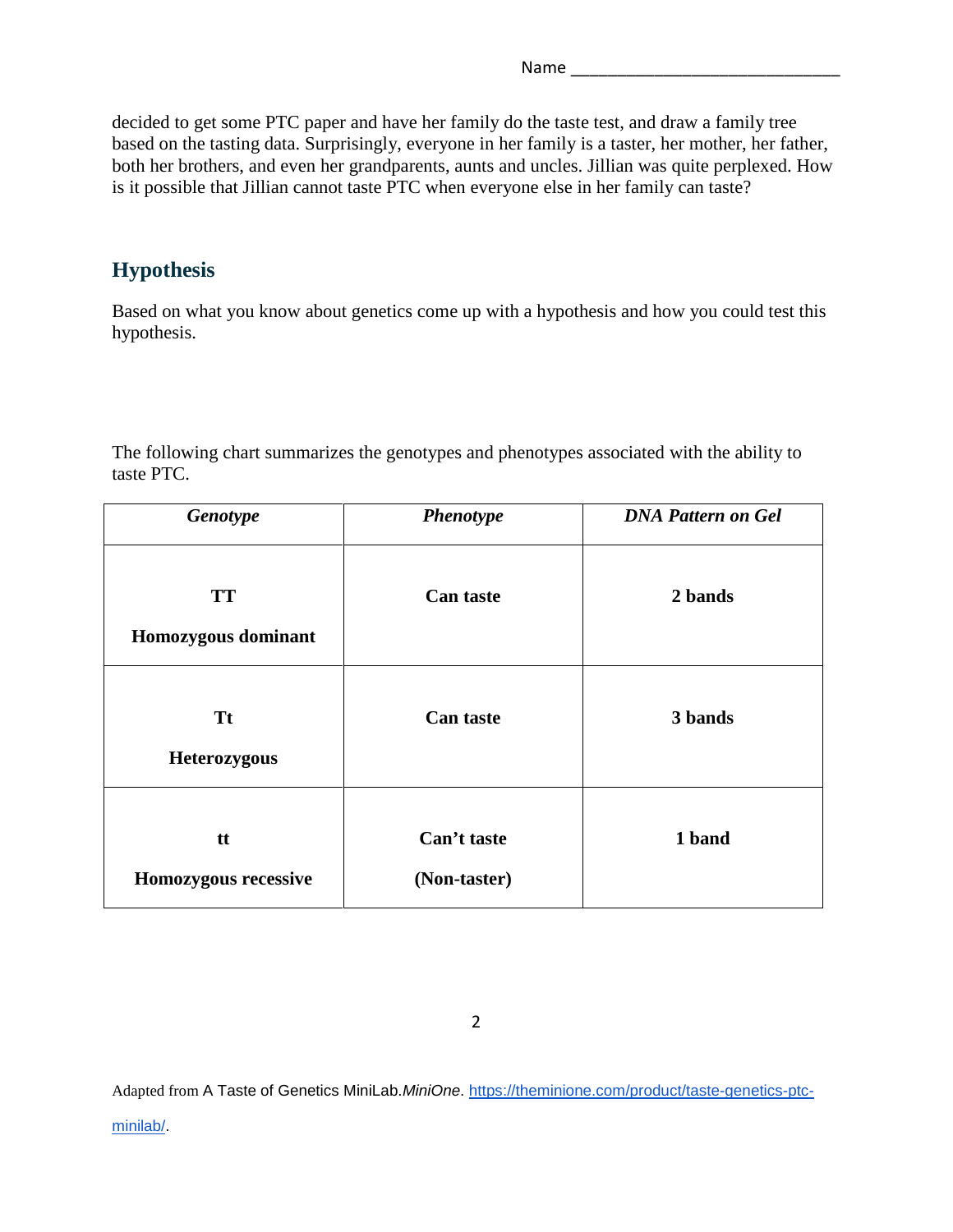decided to get some PTC paper and have her family do the taste test, and draw a family tree based on the tasting data. Surprisingly, everyone in her family is a taster, her mother, her father, both her brothers, and even her grandparents, aunts and uncles. Jillian was quite perplexed. How is it possible that Jillian cannot taste PTC when everyone else in her family can taste?

## **Hypothesis**

Based on what you know about genetics come up with a hypothesis and how you could test this hypothesis.

The following chart summarizes the genotypes and phenotypes associated with the ability to taste PTC.

| <b>Genotype</b>                  | Phenotype                   | <b>DNA Pattern on Gel</b> |
|----------------------------------|-----------------------------|---------------------------|
| <b>TT</b><br>Homozygous dominant | <b>Can taste</b>            | 2 bands                   |
| <b>Tt</b><br><b>Heterozygous</b> | <b>Can taste</b>            | 3 bands                   |
| tt<br>Homozygous recessive       | Can't taste<br>(Non-taster) | 1 band                    |

Adapted from A Taste of Genetics MiniLab.*MiniOne*. [https://theminione.com/product/taste-genetics-ptc-](https://theminione.com/product/taste-genetics-ptc-minilab/)

[minilab/.](https://theminione.com/product/taste-genetics-ptc-minilab/)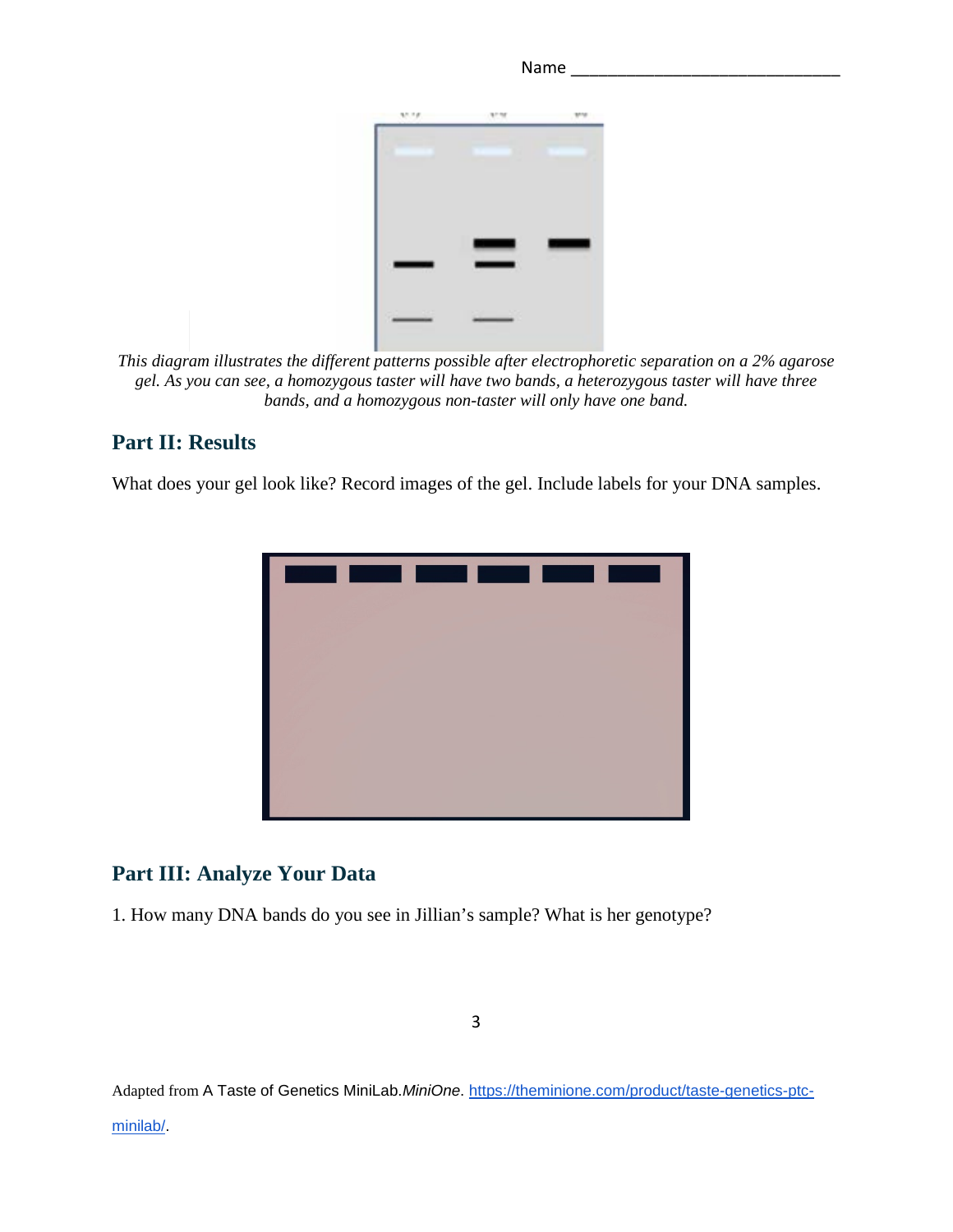#### Name

| <u>e de control</u> |  |
|---------------------|--|
|                     |  |

*This diagram illustrates the different patterns possible after electrophoretic separation on a 2% agarose gel. As you can see, a homozygous taster will have two bands, a heterozygous taster will have three bands, and a homozygous non-taster will only have one band.*

### **Part II: Results**

What does your gel look like? Record images of the gel. Include labels for your DNA samples.

| —————— |  | <u> Alban y</u> |
|--------|--|-----------------|
|        |  |                 |
|        |  |                 |
|        |  |                 |
|        |  |                 |

#### **Part III: Analyze Your Data**

1. How many DNA bands do you see in Jillian's sample? What is her genotype?

Adapted from A Taste of Genetics MiniLab.*MiniOne*. [https://theminione.com/product/taste-genetics-ptc-](https://theminione.com/product/taste-genetics-ptc-minilab/)

[minilab/.](https://theminione.com/product/taste-genetics-ptc-minilab/)